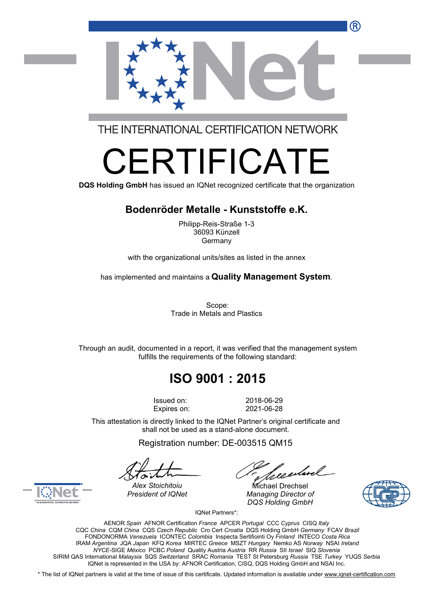

THE INTERNATIONAL CERTIFICATION NETWORK

# RETHE S

**DQS Holding GmbH** has issued an IQNet recognized certificate that the organization

#### **Bodenröder Metalle - Kunststoffe e.K.**

Philipp-Reis-Straße 1-3 36093 Künzell Germany

with the organizational units/sites as listed in the annex

has implemented and maintains a **Quality Management System**.

Scope: Trade in Metals and Plastics

Through an audit, documented in a report, it was verified that the management system fulfills the requirements of the following standard:

# **ISO 9001 : 2015**

Issued on: 2018-06-29 Expires on: 2021-06-28

This attestation is directly linked to the IQNet Partner's original certificate and shall not be used as a stand-alone document.

Registration number: DE-003515 QM15

*Alex Stoichitoiu* Michael Drechsel *President of IQNet Managing Director of DQS Holding GmbH*





IQNet Partners\*:

AENOR *Spain* AFNOR Certification *France* APCER *Portugal* CCC *Cyprus* CISQ *Italy* CQC *China* CQM *China* CQS *Czech Republic* Cro Cert *Croatia* DQS Holding GmbH *Germany* FCAV *Brazil* FONDONORMA *Venezuela* ICONTEC *Colombia* Inspecta Sertifiointi Oy *Finland* INTECO *Costa Rica* IRAM *Argentina* JQA *Japan* KFQ *Korea* MIRTEC *Greece* MSZT *Hungary* Nemko AS *Norway* NSAI *Ireland NYCE-*SIGE *México* PCBC *Poland* Quality Austria *Austria* RR *Russia* SII *Israel* SIQ *Slovenia* SIRIM QAS International *Malaysia* SQS *Switzerland* SRAC *Romania* TEST St Petersburg *Russia* TSE *Turkey* YUQS *Serbia* IQNet is represented in the USA by: AFNOR Certification, CISQ, DQS Holding GmbH and NSAI Inc.

\* The list of IQNet partners is valid at the time of issue of this certificate. Updated information is available under [www.iqnet-certification.com](http://www.iqnet-certification.com)